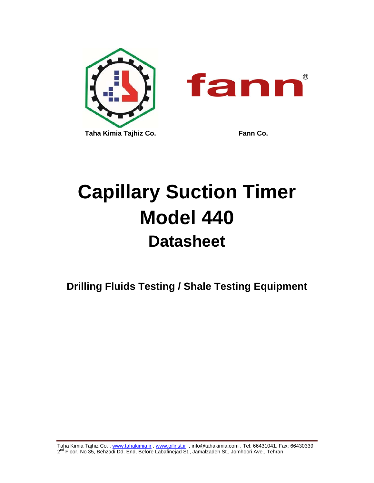

# **Capillary Suction Timer Model 440 Datasheet**

**Drilling Fluids Testing / Shale Testing Equipment** 

Taha Kimia Tajhiz Co., www.tahakimia.ir, www.oilinst.ir, info@tahakimia.com, Tel: 66431041, Fax: 66430339 2<sup>nd</sup> Floor, No 35, Behzadi Dd. End, Before Labafinejad St., Jamalzadeh St., Jomhoori Ave., Tehran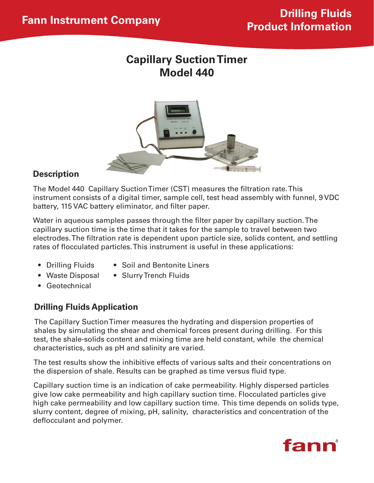# **Capillary Suction Timer Model 440**



### **Description**

The Model 440 Capillary Suction Timer (CST) measures the filtration rate. This instrument consists of a digital timer, sample cell, test head assembly with funnel, 9 VDC battery, 115 VAC battery eliminator, and filter paper.

Water in aqueous samples passes through the filter paper by capillary suction. The capillary suction time is the time that it takes for the sample to travel between two electrodes. The filtration rate is dependent upon particle size, solids content, and settling rates of flocculated particles. This instrument is useful in these applications:

- 
- Drilling Fluids Soil and Bentonite Liners
- 
- Waste Disposal Slurry Trench Fluids
- • Geotechnical

### **Drilling Fluids Application**

The Capillary Suction Timer measures the hydrating and dispersion properties of shales by simulating the shear and chemical forces present during drilling. For this test, the shale-solids content and mixing time are held constant, while the chemical characteristics, such as pH and salinity are varied.

The test results show the inhibitive effects of various salts and their concentrations on the dispersion of shale. Results can be graphed as time versus fluid type.

Capillary suction time is an indication of cake permeability. Highly dispersed particles give low cake permeability and high capillary suction time. Flocculated particles give high cake permeability and low capillary suction time. This time depends on solids type, slurry content, degree of mixing, pH, salinity, characteristics and concentration of the deflocculant and polymer.